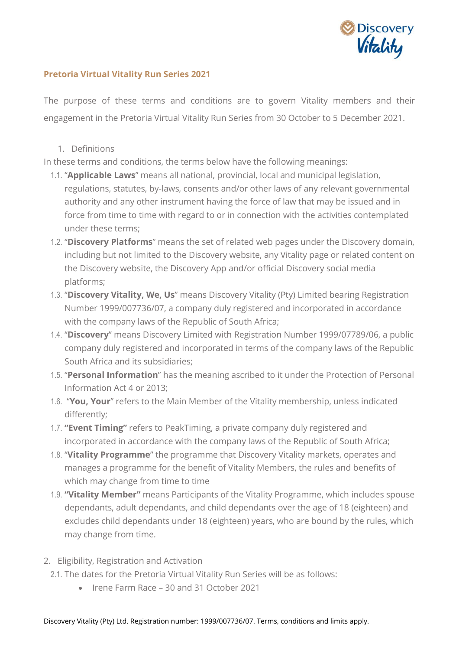

## **Pretoria Virtual Vitality Run Series 2021**

The purpose of these terms and conditions are to govern Vitality members and their engagement in the Pretoria Virtual Vitality Run Series from 30 October to 5 December 2021.

1. Definitions

In these terms and conditions, the terms below have the following meanings:

- 1.1. "**Applicable Laws**" means all national, provincial, local and municipal legislation, regulations, statutes, by-laws, consents and/or other laws of any relevant governmental authority and any other instrument having the force of law that may be issued and in force from time to time with regard to or in connection with the activities contemplated under these terms;
- 1.2. "**Discovery Platforms**" means the set of related web pages under the Discovery domain, including but not limited to the Discovery website, any Vitality page or related content on the Discovery website, the Discovery App and/or official Discovery social media platforms;
- 1.3. "**Discovery Vitality, We, Us**" means Discovery Vitality (Pty) Limited bearing Registration Number 1999/007736/07, a company duly registered and incorporated in accordance with the company laws of the Republic of South Africa;
- 1.4. "**Discovery**" means Discovery Limited with Registration Number 1999/07789/06, a public company duly registered and incorporated in terms of the company laws of the Republic South Africa and its subsidiaries;
- 1.5. "**Personal Information**" has the meaning ascribed to it under the Protection of Personal Information Act 4 or 2013;
- 1.6. "**You, Your**" refers to the Main Member of the Vitality membership, unless indicated differently;
- 1.7. **"Event Timing"** refers to PeakTiming, a private company duly registered and incorporated in accordance with the company laws of the Republic of South Africa;
- 1.8. "**Vitality Programme**" the programme that Discovery Vitality markets, operates and manages a programme for the benefit of Vitality Members, the rules and benefits of which may change from time to time
- 1.9. **"Vitality Member"** means Participants of the Vitality Programme, which includes spouse dependants, adult dependants, and child dependants over the age of 18 (eighteen) and excludes child dependants under 18 (eighteen) years, who are bound by the rules, which may change from time.
- 2. Eligibility, Registration and Activation
	- 2.1. The dates for the Pretoria Virtual Vitality Run Series will be as follows:
		- Irene Farm Race 30 and 31 October 2021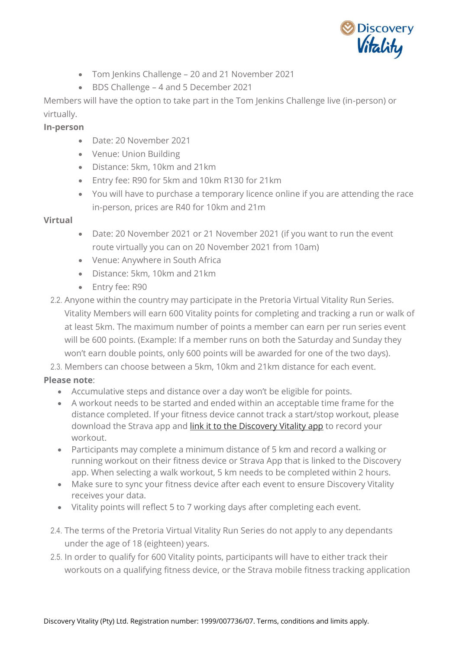

- Tom Jenkins Challenge 20 and 21 November 2021
- BDS Challenge 4 and 5 December 2021

Members will have the option to take part in the Tom Jenkins Challenge live (in-person) or virtually.

## **In-person**

- Date: 20 November 2021
- Venue: Union Building
- Distance: 5km, 10km and 21km
- Entry fee: R90 for 5km and 10km R130 for 21km
- You will have to purchase a temporary licence online if you are attending the race in-person, prices are R40 for 10km and 21m

## **Virtual**

- Date: 20 November 2021 or 21 November 2021 (if you want to run the event route virtually you can on 20 November 2021 from 10am)
- Venue: Anywhere in South Africa
- Distance: 5km, 10km and 21km
- Entry fee: R90
- 2.2. Anyone within the country may participate in the Pretoria Virtual Vitality Run Series. Vitality Members will earn 600 Vitality points for completing and tracking a run or walk of at least 5km. The maximum number of points a member can earn per run series event will be 600 points. (Example: If a member runs on both the Saturday and Sunday they won't earn double points, only 600 points will be awarded for one of the two days).

2.3. Members can choose between a 5km, 10km and 21km distance for each event.

## **Please note**:

- Accumulative steps and distance over a day won't be eligible for points.
- A workout needs to be started and ended within an acceptable time frame for the distance completed. If your fitness device cannot track a start/stop workout, please download the Strava app and [link it to the Discovery Vitality app](https://www.youtube.com/watch?v=d1edwtXl464) to record your workout.
- Participants may complete a minimum distance of 5 km and record a walking or running workout on their fitness device or Strava App that is linked to the Discovery app. When selecting a walk workout, 5 km needs to be completed within 2 hours.
- Make sure to sync your fitness device after each event to ensure Discovery Vitality receives your data.
- Vitality points will reflect 5 to 7 working days after completing each event.
- 2.4. The terms of the Pretoria Virtual Vitality Run Series do not apply to any dependants under the age of 18 (eighteen) years.
- 2.5. In order to qualify for 600 Vitality points, participants will have to either track their workouts on a qualifying fitness device, or the Strava mobile fitness tracking application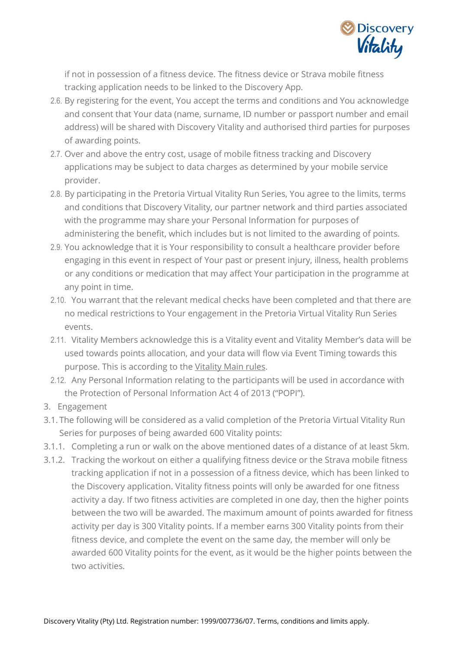

if not in possession of a fitness device. The fitness device or Strava mobile fitness tracking application needs to be linked to the Discovery App.

- 2.6. By registering for the event, You accept the terms and conditions and You acknowledge and consent that Your data (name, surname, ID number or passport number and email address) will be shared with Discovery Vitality and authorised third parties for purposes of awarding points.
- 2.7. Over and above the entry cost, usage of mobile fitness tracking and Discovery applications may be subject to data charges as determined by your mobile service provider.
- 2.8. By participating in the Pretoria Virtual Vitality Run Series, You agree to the limits, terms and conditions that Discovery Vitality, our partner network and third parties associated with the programme may share your Personal Information for purposes of administering the benefit, which includes but is not limited to the awarding of points.
- 2.9. You acknowledge that it is Your responsibility to consult a healthcare provider before engaging in this event in respect of Your past or present injury, illness, health problems or any conditions or medication that may affect Your participation in the programme at any point in time.
- 2.10. You warrant that the relevant medical checks have been completed and that there are no medical restrictions to Your engagement in the Pretoria Virtual Vitality Run Series events.
- 2.11. Vitality Members acknowledge this is a Vitality event and Vitality Member's data will be used towards points allocation, and your data will flow via Event Timing towards this purpose. This is according to the [Vitality Main rules.](https://www.discovery.co.za/portal/individual/vitality-rules)
- 2.12. Any Personal Information relating to the participants will be used in accordance with the Protection of Personal Information Act 4 of 2013 ("POPI").
- 3. Engagement
- 3.1. The following will be considered as a valid completion of the Pretoria Virtual Vitality Run Series for purposes of being awarded 600 Vitality points:
- 3.1.1. Completing a run or walk on the above mentioned dates of a distance of at least 5km.
- 3.1.2. Tracking the workout on either a qualifying fitness device or the Strava mobile fitness tracking application if not in a possession of a fitness device, which has been linked to the Discovery application. Vitality fitness points will only be awarded for one fitness activity a day. If two fitness activities are completed in one day, then the higher points between the two will be awarded. The maximum amount of points awarded for fitness activity per day is 300 Vitality points. If a member earns 300 Vitality points from their fitness device, and complete the event on the same day, the member will only be awarded 600 Vitality points for the event, as it would be the higher points between the two activities.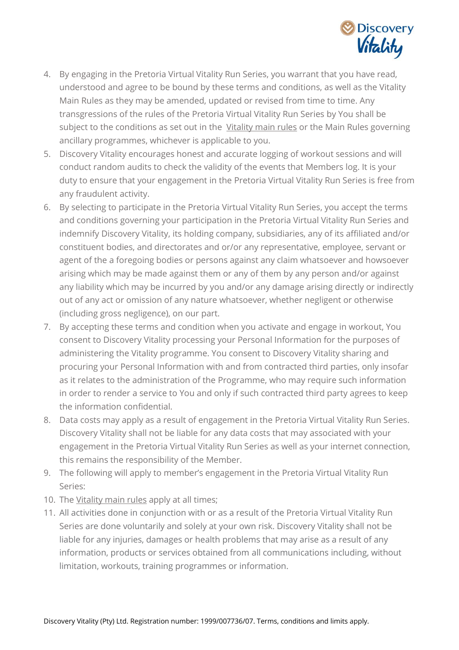

- 4. By engaging in the Pretoria Virtual Vitality Run Series, you warrant that you have read, understood and agree to be bound by these terms and conditions, as well as the Vitality Main Rules as they may be amended, updated or revised from time to time. Any transgressions of the rules of the Pretoria Virtual Vitality Run Series by You shall be subject to the conditions as set out in the [Vitality main rules](https://www.discovery.co.za/portal/individual/vitality-rules) or the Main Rules governing ancillary programmes, whichever is applicable to you.
- 5. Discovery Vitality encourages honest and accurate logging of workout sessions and will conduct random audits to check the validity of the events that Members log. It is your duty to ensure that your engagement in the Pretoria Virtual Vitality Run Series is free from any fraudulent activity.
- 6. By selecting to participate in the Pretoria Virtual Vitality Run Series, you accept the terms and conditions governing your participation in the Pretoria Virtual Vitality Run Series and indemnify Discovery Vitality, its holding company, subsidiaries, any of its affiliated and/or constituent bodies, and directorates and or/or any representative, employee, servant or agent of the a foregoing bodies or persons against any claim whatsoever and howsoever arising which may be made against them or any of them by any person and/or against any liability which may be incurred by you and/or any damage arising directly or indirectly out of any act or omission of any nature whatsoever, whether negligent or otherwise (including gross negligence), on our part.
- 7. By accepting these terms and condition when you activate and engage in workout, You consent to Discovery Vitality processing your Personal Information for the purposes of administering the Vitality programme. You consent to Discovery Vitality sharing and procuring your Personal Information with and from contracted third parties, only insofar as it relates to the administration of the Programme, who may require such information in order to render a service to You and only if such contracted third party agrees to keep the information confidential.
- 8. Data costs may apply as a result of engagement in the Pretoria Virtual Vitality Run Series. Discovery Vitality shall not be liable for any data costs that may associated with your engagement in the Pretoria Virtual Vitality Run Series as well as your internet connection, this remains the responsibility of the Member.
- 9. The following will apply to member's engagement in the Pretoria Virtual Vitality Run Series:
- 10. The [Vitality main rules](https://www.discovery.co.za/portal/individual/vitality-rules) apply at all times;
- 11. All activities done in conjunction with or as a result of the Pretoria Virtual Vitality Run Series are done voluntarily and solely at your own risk. Discovery Vitality shall not be liable for any injuries, damages or health problems that may arise as a result of any information, products or services obtained from all communications including, without limitation, workouts, training programmes or information.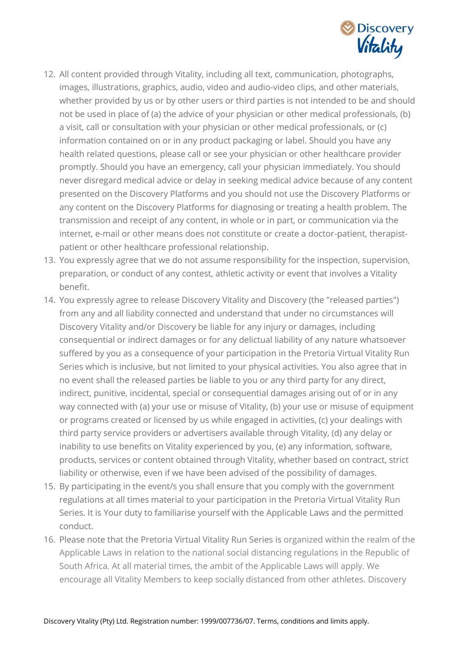

- 12. All content provided through Vitality, including all text, communication, photographs, images, illustrations, graphics, audio, video and audio-video clips, and other materials, whether provided by us or by other users or third parties is not intended to be and should not be used in place of (a) the advice of your physician or other medical professionals, (b) a visit, call or consultation with your physician or other medical professionals, or (c) information contained on or in any product packaging or label. Should you have any health related questions, please call or see your physician or other healthcare provider promptly. Should you have an emergency, call your physician immediately. You should never disregard medical advice or delay in seeking medical advice because of any content presented on the Discovery Platforms and you should not use the Discovery Platforms or any content on the Discovery Platforms for diagnosing or treating a health problem. The transmission and receipt of any content, in whole or in part, or communication via the internet, e-mail or other means does not constitute or create a doctor-patient, therapistpatient or other healthcare professional relationship.
- 13. You expressly agree that we do not assume responsibility for the inspection, supervision, preparation, or conduct of any contest, athletic activity or event that involves a Vitality benefit.
- 14. You expressly agree to release Discovery Vitality and Discovery (the "released parties") from any and all liability connected and understand that under no circumstances will Discovery Vitality and/or Discovery be liable for any injury or damages, including consequential or indirect damages or for any delictual liability of any nature whatsoever suffered by you as a consequence of your participation in the Pretoria Virtual Vitality Run Series which is inclusive, but not limited to your physical activities. You also agree that in no event shall the released parties be liable to you or any third party for any direct, indirect, punitive, incidental, special or consequential damages arising out of or in any way connected with (a) your use or misuse of Vitality, (b) your use or misuse of equipment or programs created or licensed by us while engaged in activities, (c) your dealings with third party service providers or advertisers available through Vitality, (d) any delay or inability to use benefits on Vitality experienced by you, (e) any information, software, products, services or content obtained through Vitality, whether based on contract, strict liability or otherwise, even if we have been advised of the possibility of damages.
- 15. By participating in the event/s you shall ensure that you comply with the government regulations at all times material to your participation in the Pretoria Virtual Vitality Run Series. It is Your duty to familiarise yourself with the Applicable Laws and the permitted conduct.
- 16. Please note that the Pretoria Virtual Vitality Run Series is organized within the realm of the Applicable Laws in relation to the national social distancing regulations in the Republic of South Africa. At all material times, the ambit of the Applicable Laws will apply. We encourage all Vitality Members to keep socially distanced from other athletes. Discovery